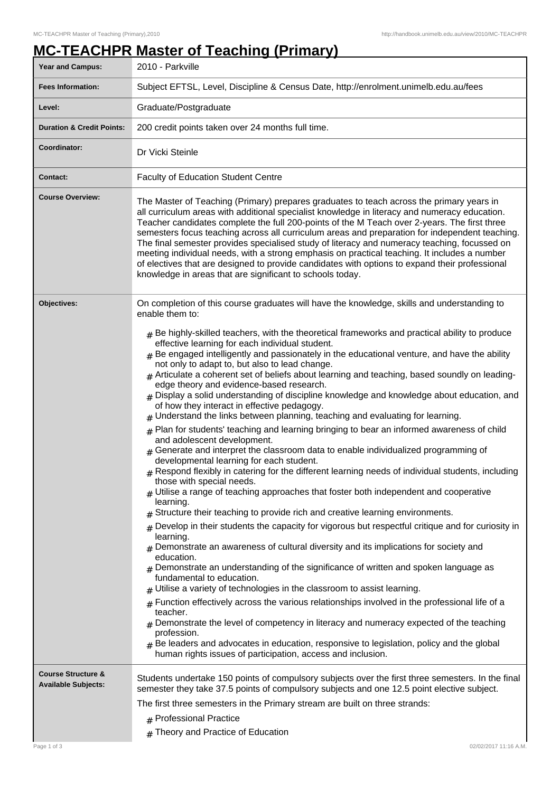## **MC-TEACHPR Master of Teaching (Primary)**

| Year and Campus:                                            | 2010 - Parkville                                                                                                                                                                                                                                                                                                                                                                                                                                                                                                                                                                                                                                                                                                                                                                                                                                                                                                                                                                                                                                                                                                                                                                                                                                                                                                                                                                                                                                                                                                                                                                                                                                                                                                                                                                                                                                                                                                                                                                                                                                                                                                             |  |  |
|-------------------------------------------------------------|------------------------------------------------------------------------------------------------------------------------------------------------------------------------------------------------------------------------------------------------------------------------------------------------------------------------------------------------------------------------------------------------------------------------------------------------------------------------------------------------------------------------------------------------------------------------------------------------------------------------------------------------------------------------------------------------------------------------------------------------------------------------------------------------------------------------------------------------------------------------------------------------------------------------------------------------------------------------------------------------------------------------------------------------------------------------------------------------------------------------------------------------------------------------------------------------------------------------------------------------------------------------------------------------------------------------------------------------------------------------------------------------------------------------------------------------------------------------------------------------------------------------------------------------------------------------------------------------------------------------------------------------------------------------------------------------------------------------------------------------------------------------------------------------------------------------------------------------------------------------------------------------------------------------------------------------------------------------------------------------------------------------------------------------------------------------------------------------------------------------------|--|--|
| <b>Fees Information:</b>                                    | Subject EFTSL, Level, Discipline & Census Date, http://enrolment.unimelb.edu.au/fees                                                                                                                                                                                                                                                                                                                                                                                                                                                                                                                                                                                                                                                                                                                                                                                                                                                                                                                                                                                                                                                                                                                                                                                                                                                                                                                                                                                                                                                                                                                                                                                                                                                                                                                                                                                                                                                                                                                                                                                                                                         |  |  |
| Level:                                                      | Graduate/Postgraduate                                                                                                                                                                                                                                                                                                                                                                                                                                                                                                                                                                                                                                                                                                                                                                                                                                                                                                                                                                                                                                                                                                                                                                                                                                                                                                                                                                                                                                                                                                                                                                                                                                                                                                                                                                                                                                                                                                                                                                                                                                                                                                        |  |  |
| <b>Duration &amp; Credit Points:</b>                        | 200 credit points taken over 24 months full time.                                                                                                                                                                                                                                                                                                                                                                                                                                                                                                                                                                                                                                                                                                                                                                                                                                                                                                                                                                                                                                                                                                                                                                                                                                                                                                                                                                                                                                                                                                                                                                                                                                                                                                                                                                                                                                                                                                                                                                                                                                                                            |  |  |
| Coordinator:                                                | Dr Vicki Steinle                                                                                                                                                                                                                                                                                                                                                                                                                                                                                                                                                                                                                                                                                                                                                                                                                                                                                                                                                                                                                                                                                                                                                                                                                                                                                                                                                                                                                                                                                                                                                                                                                                                                                                                                                                                                                                                                                                                                                                                                                                                                                                             |  |  |
| <b>Contact:</b>                                             | <b>Faculty of Education Student Centre</b>                                                                                                                                                                                                                                                                                                                                                                                                                                                                                                                                                                                                                                                                                                                                                                                                                                                                                                                                                                                                                                                                                                                                                                                                                                                                                                                                                                                                                                                                                                                                                                                                                                                                                                                                                                                                                                                                                                                                                                                                                                                                                   |  |  |
| <b>Course Overview:</b>                                     | The Master of Teaching (Primary) prepares graduates to teach across the primary years in<br>all curriculum areas with additional specialist knowledge in literacy and numeracy education.<br>Teacher candidates complete the full 200-points of the M Teach over 2-years. The first three<br>semesters focus teaching across all curriculum areas and preparation for independent teaching.<br>The final semester provides specialised study of literacy and numeracy teaching, focussed on<br>meeting individual needs, with a strong emphasis on practical teaching. It includes a number<br>of electives that are designed to provide candidates with options to expand their professional<br>knowledge in areas that are significant to schools today.                                                                                                                                                                                                                                                                                                                                                                                                                                                                                                                                                                                                                                                                                                                                                                                                                                                                                                                                                                                                                                                                                                                                                                                                                                                                                                                                                                   |  |  |
| Objectives:                                                 | On completion of this course graduates will have the knowledge, skills and understanding to<br>enable them to:                                                                                                                                                                                                                                                                                                                                                                                                                                                                                                                                                                                                                                                                                                                                                                                                                                                                                                                                                                                                                                                                                                                                                                                                                                                                                                                                                                                                                                                                                                                                                                                                                                                                                                                                                                                                                                                                                                                                                                                                               |  |  |
|                                                             | $#$ Be highly-skilled teachers, with the theoretical frameworks and practical ability to produce<br>effective learning for each individual student.<br>$_{\text{\#}}$ Be engaged intelligently and passionately in the educational venture, and have the ability<br>not only to adapt to, but also to lead change.<br>$#$ Articulate a coherent set of beliefs about learning and teaching, based soundly on leading-<br>edge theory and evidence-based research.<br>$#$ Display a solid understanding of discipline knowledge and knowledge about education, and<br>of how they interact in effective pedagogy.<br>$*$ Understand the links between planning, teaching and evaluating for learning.<br>$#$ Plan for students' teaching and learning bringing to bear an informed awareness of child<br>and adolescent development.<br>$#$ Generate and interpret the classroom data to enable individualized programming of<br>developmental learning for each student.<br>$#$ Respond flexibly in catering for the different learning needs of individual students, including<br>those with special needs.<br>Utilise a range of teaching approaches that foster both independent and cooperative<br>learning.<br>Structure their teaching to provide rich and creative learning environments.<br>Develop in their students the capacity for vigorous but respectful critique and for curiosity in<br>#<br>learning.<br>$_{\#}$ Demonstrate an awareness of cultural diversity and its implications for society and<br>education.<br>Demonstrate an understanding of the significance of written and spoken language as<br>fundamental to education.<br>Utilise a variety of technologies in the classroom to assist learning.<br>Function effectively across the various relationships involved in the professional life of a<br>#<br>teacher.<br>Demonstrate the level of competency in literacy and numeracy expected of the teaching<br>profession.<br>Be leaders and advocates in education, responsive to legislation, policy and the global<br>$\pm$<br>human rights issues of participation, access and inclusion. |  |  |
| <b>Course Structure &amp;</b><br><b>Available Subjects:</b> | Students undertake 150 points of compulsory subjects over the first three semesters. In the final<br>semester they take 37.5 points of compulsory subjects and one 12.5 point elective subject.<br>The first three semesters in the Primary stream are built on three strands:<br># Professional Practice                                                                                                                                                                                                                                                                                                                                                                                                                                                                                                                                                                                                                                                                                                                                                                                                                                                                                                                                                                                                                                                                                                                                                                                                                                                                                                                                                                                                                                                                                                                                                                                                                                                                                                                                                                                                                    |  |  |
|                                                             | # Theory and Practice of Education                                                                                                                                                                                                                                                                                                                                                                                                                                                                                                                                                                                                                                                                                                                                                                                                                                                                                                                                                                                                                                                                                                                                                                                                                                                                                                                                                                                                                                                                                                                                                                                                                                                                                                                                                                                                                                                                                                                                                                                                                                                                                           |  |  |
| Page 1 of 3                                                 | 02/02/2017 11:16 A.M.                                                                                                                                                                                                                                                                                                                                                                                                                                                                                                                                                                                                                                                                                                                                                                                                                                                                                                                                                                                                                                                                                                                                                                                                                                                                                                                                                                                                                                                                                                                                                                                                                                                                                                                                                                                                                                                                                                                                                                                                                                                                                                        |  |  |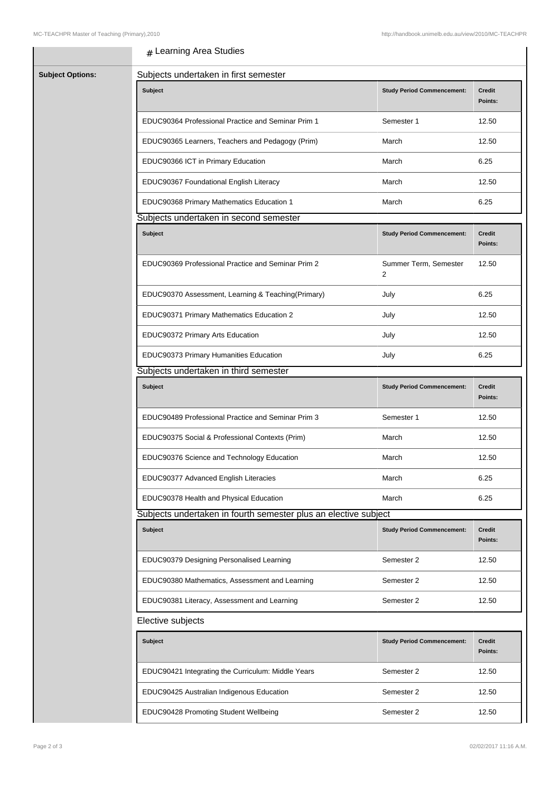## $_{\rm \#}$  Learning Area Studies

| <b>Subject Options:</b> | Subjects undertaken in first semester                           |                                         |                          |
|-------------------------|-----------------------------------------------------------------|-----------------------------------------|--------------------------|
|                         | Subject                                                         | <b>Study Period Commencement:</b>       | <b>Credit</b><br>Points: |
|                         | EDUC90364 Professional Practice and Seminar Prim 1              | Semester 1                              | 12.50                    |
|                         | EDUC90365 Learners, Teachers and Pedagogy (Prim)                | March                                   | 12.50                    |
|                         | EDUC90366 ICT in Primary Education                              | March                                   | 6.25                     |
|                         | EDUC90367 Foundational English Literacy                         | March                                   | 12.50                    |
|                         | EDUC90368 Primary Mathematics Education 1                       | March                                   | 6.25                     |
|                         | Subjects undertaken in second semester                          |                                         |                          |
|                         | <b>Subject</b>                                                  | <b>Study Period Commencement:</b>       | <b>Credit</b><br>Points: |
|                         | EDUC90369 Professional Practice and Seminar Prim 2              | Summer Term, Semester<br>$\overline{2}$ | 12.50                    |
|                         | EDUC90370 Assessment, Learning & Teaching(Primary)              | July                                    | 6.25                     |
|                         | EDUC90371 Primary Mathematics Education 2                       | July                                    | 12.50                    |
|                         | EDUC90372 Primary Arts Education                                | July                                    | 12.50                    |
|                         | EDUC90373 Primary Humanities Education                          | July                                    | 6.25                     |
|                         | Subjects undertaken in third semester                           |                                         |                          |
|                         | <b>Subject</b>                                                  | <b>Study Period Commencement:</b>       | <b>Credit</b><br>Points: |
|                         | EDUC90489 Professional Practice and Seminar Prim 3              | Semester 1                              | 12.50                    |
|                         | EDUC90375 Social & Professional Contexts (Prim)                 | March                                   | 12.50                    |
|                         | EDUC90376 Science and Technology Education                      | March                                   | 12.50                    |
|                         | EDUC90377 Advanced English Literacies                           | March                                   | 6.25                     |
|                         | EDUC90378 Health and Physical Education                         | March                                   | 6.25                     |
|                         | Subjects undertaken in fourth semester plus an elective subject |                                         |                          |
|                         | <b>Subject</b>                                                  | <b>Study Period Commencement:</b>       | <b>Credit</b><br>Points: |
|                         | EDUC90379 Designing Personalised Learning                       | Semester 2                              | 12.50                    |
|                         | EDUC90380 Mathematics, Assessment and Learning                  | Semester 2                              | 12.50                    |
|                         | EDUC90381 Literacy, Assessment and Learning                     | Semester 2                              | 12.50                    |
|                         | Elective subjects                                               |                                         |                          |
|                         | <b>Subject</b>                                                  | <b>Study Period Commencement:</b>       | <b>Credit</b><br>Points: |
|                         | EDUC90421 Integrating the Curriculum: Middle Years              | Semester 2                              | 12.50                    |
|                         | EDUC90425 Australian Indigenous Education                       | Semester 2                              | 12.50                    |
|                         | EDUC90428 Promoting Student Wellbeing                           | Semester 2                              | 12.50                    |